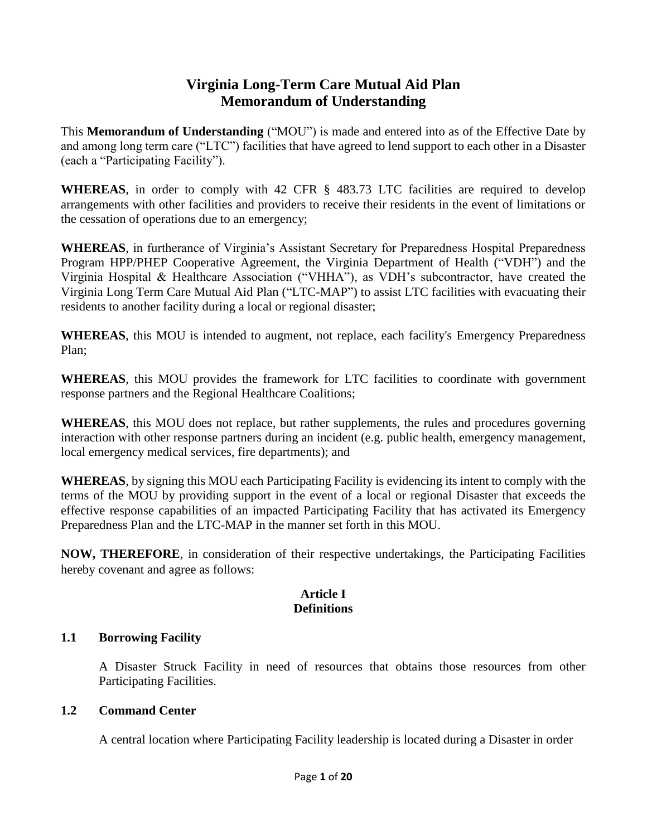# **Virginia Long-Term Care Mutual Aid Plan Memorandum of Understanding**

This **Memorandum of Understanding** ("MOU") is made and entered into as of the Effective Date by and among long term care ("LTC") facilities that have agreed to lend support to each other in a Disaster (each a "Participating Facility").

**WHEREAS**, in order to comply with 42 CFR § 483.73 LTC facilities are required to develop arrangements with other facilities and providers to receive their residents in the event of limitations or the cessation of operations due to an emergency;

**WHEREAS**, in furtherance of Virginia's Assistant Secretary for Preparedness Hospital Preparedness Program HPP/PHEP Cooperative Agreement, the Virginia Department of Health ("VDH") and the Virginia Hospital & Healthcare Association ("VHHA"), as VDH's subcontractor, have created the Virginia Long Term Care Mutual Aid Plan ("LTC-MAP") to assist LTC facilities with evacuating their residents to another facility during a local or regional disaster;

**WHEREAS**, this MOU is intended to augment, not replace, each facility's Emergency Preparedness Plan;

**WHEREAS**, this MOU provides the framework for LTC facilities to coordinate with government response partners and the Regional Healthcare Coalitions;

**WHEREAS**, this MOU does not replace, but rather supplements, the rules and procedures governing interaction with other response partners during an incident (e.g. public health, emergency management, local emergency medical services, fire departments); and

**WHEREAS**, by signing this MOU each Participating Facility is evidencing its intent to comply with the terms of the MOU by providing support in the event of a local or regional Disaster that exceeds the effective response capabilities of an impacted Participating Facility that has activated its Emergency Preparedness Plan and the LTC-MAP in the manner set forth in this MOU.

**NOW, THEREFORE**, in consideration of their respective undertakings, the Participating Facilities hereby covenant and agree as follows:

## **Article I Definitions**

## **1.1 Borrowing Facility**

A Disaster Struck Facility in need of resources that obtains those resources from other Participating Facilities.

## **1.2 Command Center**

A central location where Participating Facility leadership is located during a Disaster in order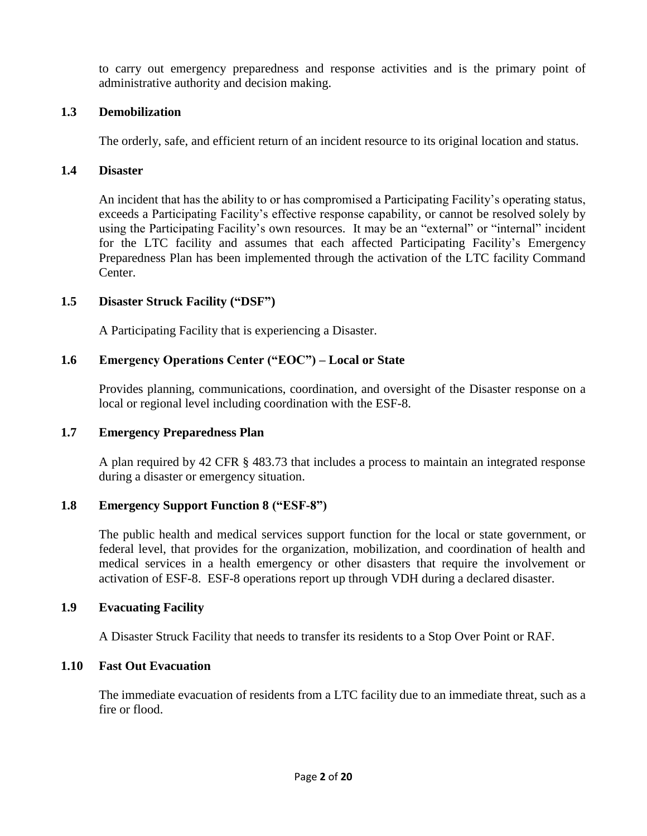to carry out emergency preparedness and response activities and is the primary point of administrative authority and decision making.

#### **1.3 Demobilization**

The orderly, safe, and efficient return of an incident resource to its original location and status.

#### **1.4 Disaster**

An incident that has the ability to or has compromised a Participating Facility's operating status, exceeds a Participating Facility's effective response capability, or cannot be resolved solely by using the Participating Facility's own resources. It may be an "external" or "internal" incident for the LTC facility and assumes that each affected Participating Facility's Emergency Preparedness Plan has been implemented through the activation of the LTC facility Command Center.

#### **1.5 Disaster Struck Facility ("DSF")**

A Participating Facility that is experiencing a Disaster.

#### **1.6 Emergency Operations Center ("EOC") – Local or State**

Provides planning, communications, coordination, and oversight of the Disaster response on a local or regional level including coordination with the ESF-8.

#### **1.7 Emergency Preparedness Plan**

A plan required by 42 CFR § 483.73 that includes a process to maintain an integrated response during a disaster or emergency situation.

#### **1.8 Emergency Support Function 8 ("ESF-8")**

The public health and medical services support function for the local or state government, or federal level, that provides for the organization, mobilization, and coordination of health and medical services in a health emergency or other disasters that require the involvement or activation of ESF-8. ESF-8 operations report up through VDH during a declared disaster.

#### **1.9 Evacuating Facility**

A Disaster Struck Facility that needs to transfer its residents to a Stop Over Point or RAF.

#### **1.10 Fast Out Evacuation**

The immediate evacuation of residents from a LTC facility due to an immediate threat, such as a fire or flood.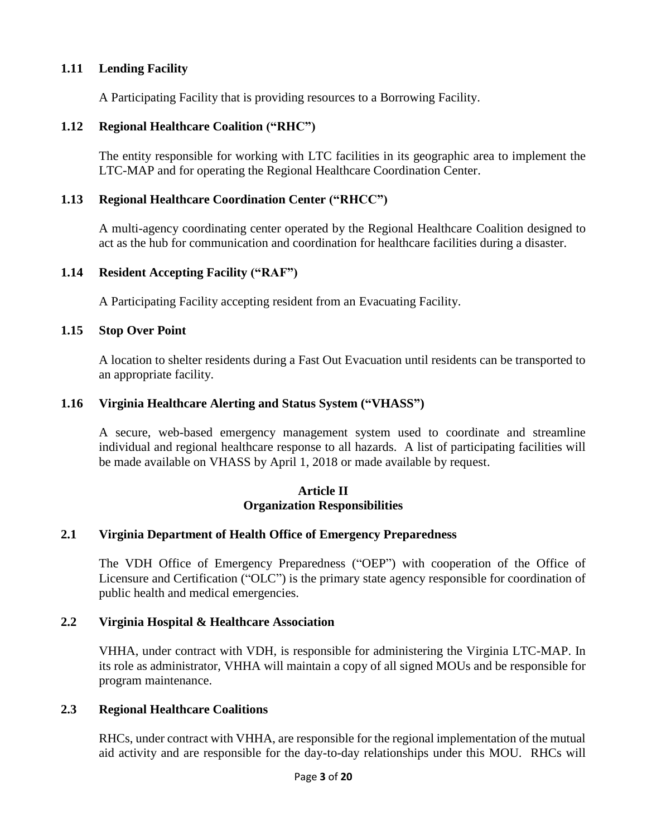# **1.11 Lending Facility**

A Participating Facility that is providing resources to a Borrowing Facility.

## **1.12 Regional Healthcare Coalition ("RHC")**

The entity responsible for working with LTC facilities in its geographic area to implement the LTC-MAP and for operating the Regional Healthcare Coordination Center.

# **1.13 Regional Healthcare Coordination Center ("RHCC")**

A multi-agency coordinating center operated by the Regional Healthcare Coalition designed to act as the hub for communication and coordination for healthcare facilities during a disaster.

## **1.14 Resident Accepting Facility ("RAF")**

A Participating Facility accepting resident from an Evacuating Facility.

# **1.15 Stop Over Point**

A location to shelter residents during a Fast Out Evacuation until residents can be transported to an appropriate facility.

# **1.16 Virginia Healthcare Alerting and Status System ("VHASS")**

A secure, web-based emergency management system used to coordinate and streamline individual and regional healthcare response to all hazards. A list of participating facilities will be made available on VHASS by April 1, 2018 or made available by request.

#### **Article II Organization Responsibilities**

## **2.1 Virginia Department of Health Office of Emergency Preparedness**

The VDH Office of Emergency Preparedness ("OEP") with cooperation of the Office of Licensure and Certification ("OLC") is the primary state agency responsible for coordination of public health and medical emergencies.

# **2.2 Virginia Hospital & Healthcare Association**

VHHA, under contract with VDH, is responsible for administering the Virginia LTC-MAP. In its role as administrator, VHHA will maintain a copy of all signed MOUs and be responsible for program maintenance.

## **2.3 Regional Healthcare Coalitions**

RHCs, under contract with VHHA, are responsible for the regional implementation of the mutual aid activity and are responsible for the day-to-day relationships under this MOU. RHCs will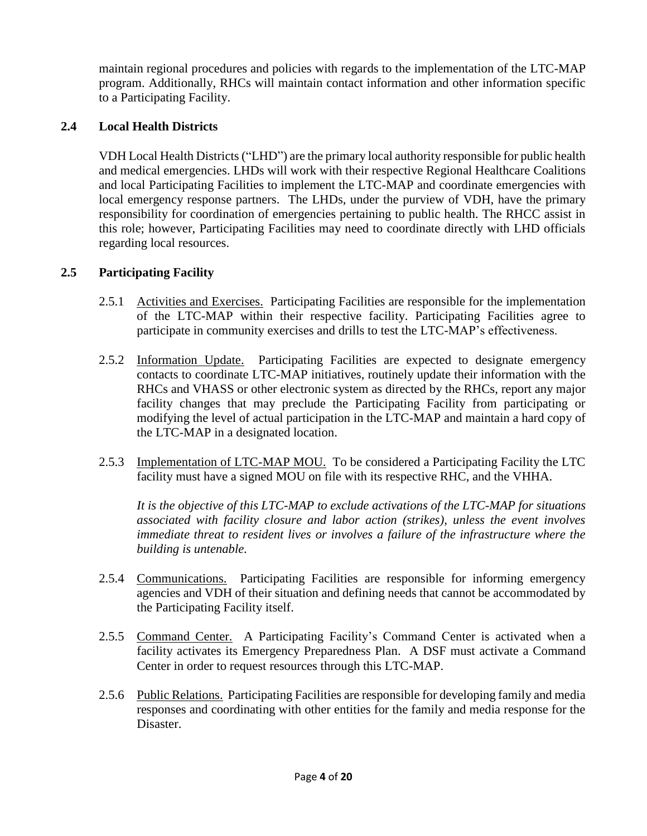maintain regional procedures and policies with regards to the implementation of the LTC-MAP program. Additionally, RHCs will maintain contact information and other information specific to a Participating Facility.

# **2.4 Local Health Districts**

VDH Local Health Districts ("LHD") are the primary local authority responsible for public health and medical emergencies. LHDs will work with their respective Regional Healthcare Coalitions and local Participating Facilities to implement the LTC-MAP and coordinate emergencies with local emergency response partners. The LHDs, under the purview of VDH, have the primary responsibility for coordination of emergencies pertaining to public health. The RHCC assist in this role; however, Participating Facilities may need to coordinate directly with LHD officials regarding local resources.

# **2.5 Participating Facility**

- 2.5.1 Activities and Exercises. Participating Facilities are responsible for the implementation of the LTC-MAP within their respective facility. Participating Facilities agree to participate in community exercises and drills to test the LTC-MAP's effectiveness.
- 2.5.2 Information Update. Participating Facilities are expected to designate emergency contacts to coordinate LTC-MAP initiatives, routinely update their information with the RHCs and VHASS or other electronic system as directed by the RHCs, report any major facility changes that may preclude the Participating Facility from participating or modifying the level of actual participation in the LTC-MAP and maintain a hard copy of the LTC-MAP in a designated location.
- 2.5.3 Implementation of LTC-MAP MOU. To be considered a Participating Facility the LTC facility must have a signed MOU on file with its respective RHC, and the VHHA.

*It is the objective of this LTC-MAP to exclude activations of the LTC-MAP for situations associated with facility closure and labor action (strikes), unless the event involves immediate threat to resident lives or involves a failure of the infrastructure where the building is untenable.* 

- 2.5.4 Communications. Participating Facilities are responsible for informing emergency agencies and VDH of their situation and defining needs that cannot be accommodated by the Participating Facility itself.
- 2.5.5 Command Center. A Participating Facility's Command Center is activated when a facility activates its Emergency Preparedness Plan. A DSF must activate a Command Center in order to request resources through this LTC-MAP.
- 2.5.6 Public Relations. Participating Facilities are responsible for developing family and media responses and coordinating with other entities for the family and media response for the Disaster.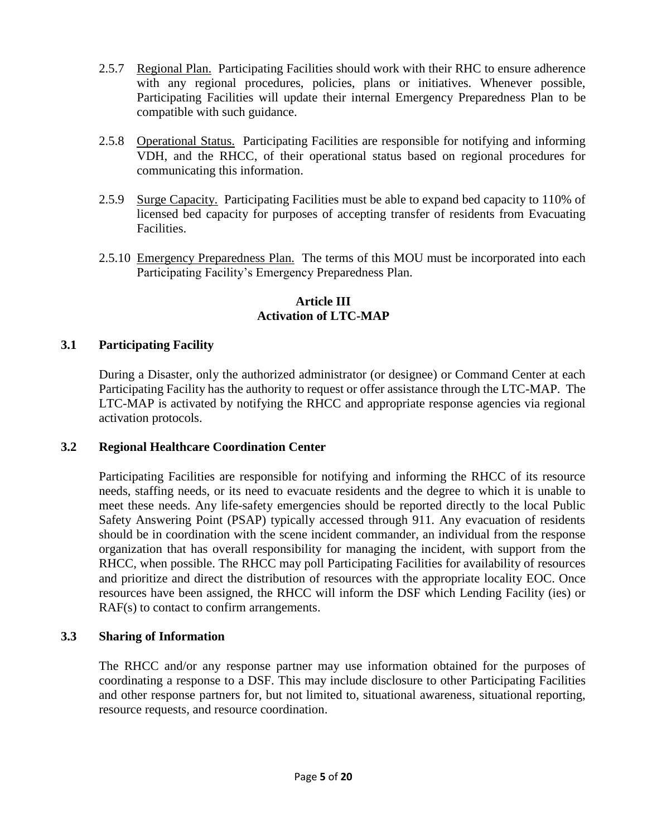- 2.5.7 Regional Plan. Participating Facilities should work with their RHC to ensure adherence with any regional procedures, policies, plans or initiatives. Whenever possible, Participating Facilities will update their internal Emergency Preparedness Plan to be compatible with such guidance.
- 2.5.8 Operational Status. Participating Facilities are responsible for notifying and informing VDH, and the RHCC, of their operational status based on regional procedures for communicating this information.
- 2.5.9 Surge Capacity. Participating Facilities must be able to expand bed capacity to 110% of licensed bed capacity for purposes of accepting transfer of residents from Evacuating Facilities.
- 2.5.10 Emergency Preparedness Plan. The terms of this MOU must be incorporated into each Participating Facility's Emergency Preparedness Plan.

# **Article III Activation of LTC-MAP**

# **3.1 Participating Facility**

During a Disaster, only the authorized administrator (or designee) or Command Center at each Participating Facility has the authority to request or offer assistance through the LTC-MAP. The LTC-MAP is activated by notifying the RHCC and appropriate response agencies via regional activation protocols.

## **3.2 Regional Healthcare Coordination Center**

Participating Facilities are responsible for notifying and informing the RHCC of its resource needs, staffing needs, or its need to evacuate residents and the degree to which it is unable to meet these needs. Any life-safety emergencies should be reported directly to the local Public Safety Answering Point (PSAP) typically accessed through 911. Any evacuation of residents should be in coordination with the scene incident commander, an individual from the response organization that has overall responsibility for managing the incident, with support from the RHCC, when possible. The RHCC may poll Participating Facilities for availability of resources and prioritize and direct the distribution of resources with the appropriate locality EOC. Once resources have been assigned, the RHCC will inform the DSF which Lending Facility (ies) or RAF(s) to contact to confirm arrangements.

## **3.3 Sharing of Information**

The RHCC and/or any response partner may use information obtained for the purposes of coordinating a response to a DSF. This may include disclosure to other Participating Facilities and other response partners for, but not limited to, situational awareness, situational reporting, resource requests, and resource coordination.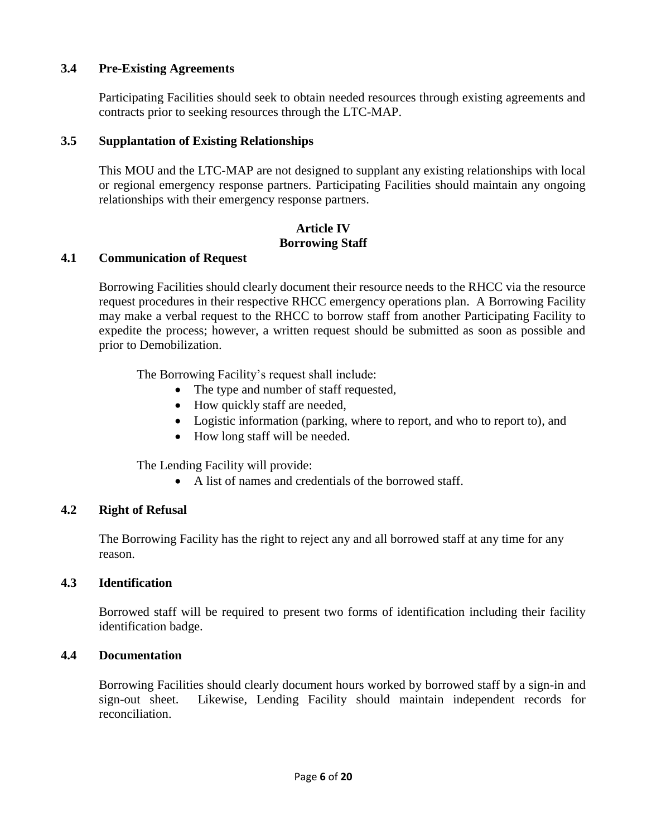## **3.4 Pre-Existing Agreements**

Participating Facilities should seek to obtain needed resources through existing agreements and contracts prior to seeking resources through the LTC-MAP.

#### **3.5 Supplantation of Existing Relationships**

This MOU and the LTC-MAP are not designed to supplant any existing relationships with local or regional emergency response partners. Participating Facilities should maintain any ongoing relationships with their emergency response partners.

# **Article IV Borrowing Staff**

#### **4.1 Communication of Request**

Borrowing Facilities should clearly document their resource needs to the RHCC via the resource request procedures in their respective RHCC emergency operations plan. A Borrowing Facility may make a verbal request to the RHCC to borrow staff from another Participating Facility to expedite the process; however, a written request should be submitted as soon as possible and prior to Demobilization.

The Borrowing Facility's request shall include:

- The type and number of staff requested,
- How quickly staff are needed,
- Logistic information (parking, where to report, and who to report to), and
- How long staff will be needed.

The Lending Facility will provide:

• A list of names and credentials of the borrowed staff.

## **4.2 Right of Refusal**

The Borrowing Facility has the right to reject any and all borrowed staff at any time for any reason.

## **4.3 Identification**

Borrowed staff will be required to present two forms of identification including their facility identification badge.

## **4.4 Documentation**

Borrowing Facilities should clearly document hours worked by borrowed staff by a sign-in and sign-out sheet. Likewise, Lending Facility should maintain independent records for reconciliation.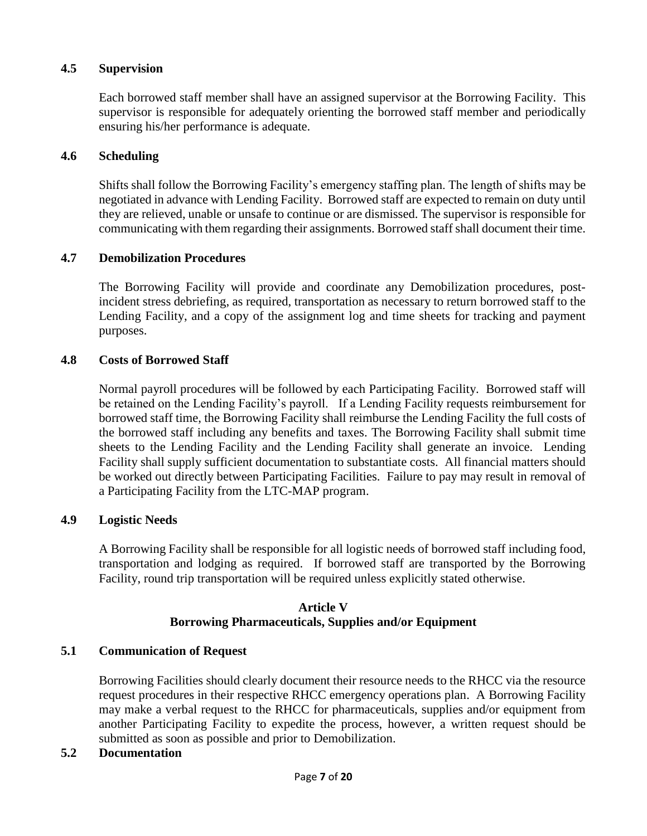#### **4.5 Supervision**

Each borrowed staff member shall have an assigned supervisor at the Borrowing Facility. This supervisor is responsible for adequately orienting the borrowed staff member and periodically ensuring his/her performance is adequate.

#### **4.6 Scheduling**

Shifts shall follow the Borrowing Facility's emergency staffing plan. The length of shifts may be negotiated in advance with Lending Facility. Borrowed staff are expected to remain on duty until they are relieved, unable or unsafe to continue or are dismissed. The supervisor is responsible for communicating with them regarding their assignments. Borrowed staff shall document their time.

#### **4.7 Demobilization Procedures**

The Borrowing Facility will provide and coordinate any Demobilization procedures, postincident stress debriefing, as required, transportation as necessary to return borrowed staff to the Lending Facility, and a copy of the assignment log and time sheets for tracking and payment purposes.

#### **4.8 Costs of Borrowed Staff**

Normal payroll procedures will be followed by each Participating Facility. Borrowed staff will be retained on the Lending Facility's payroll. If a Lending Facility requests reimbursement for borrowed staff time, the Borrowing Facility shall reimburse the Lending Facility the full costs of the borrowed staff including any benefits and taxes. The Borrowing Facility shall submit time sheets to the Lending Facility and the Lending Facility shall generate an invoice. Lending Facility shall supply sufficient documentation to substantiate costs. All financial matters should be worked out directly between Participating Facilities. Failure to pay may result in removal of a Participating Facility from the LTC-MAP program.

#### **4.9 Logistic Needs**

A Borrowing Facility shall be responsible for all logistic needs of borrowed staff including food, transportation and lodging as required. If borrowed staff are transported by the Borrowing Facility, round trip transportation will be required unless explicitly stated otherwise.

#### **Article V Borrowing Pharmaceuticals, Supplies and/or Equipment**

#### **5.1 Communication of Request**

Borrowing Facilities should clearly document their resource needs to the RHCC via the resource request procedures in their respective RHCC emergency operations plan. A Borrowing Facility may make a verbal request to the RHCC for pharmaceuticals, supplies and/or equipment from another Participating Facility to expedite the process, however, a written request should be submitted as soon as possible and prior to Demobilization.

#### **5.2 Documentation**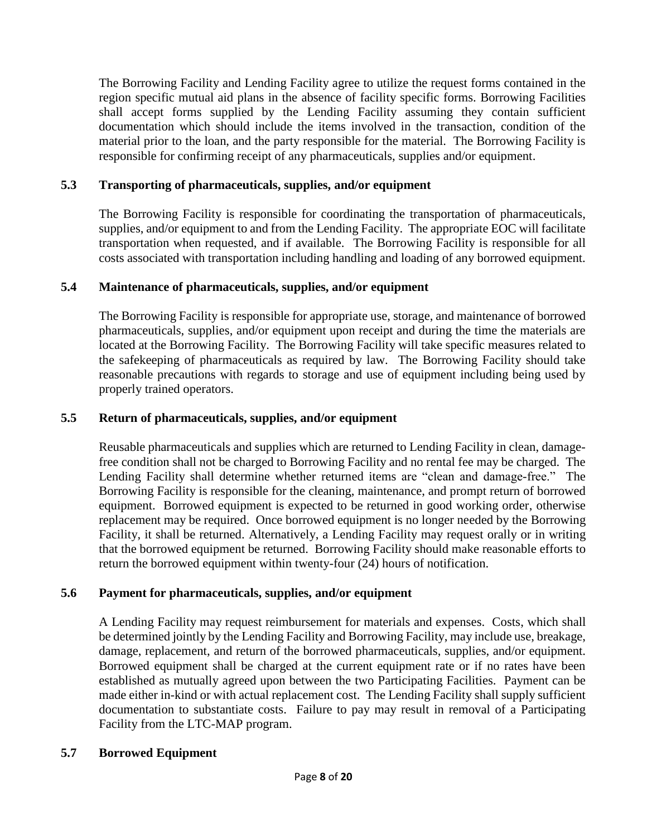The Borrowing Facility and Lending Facility agree to utilize the request forms contained in the region specific mutual aid plans in the absence of facility specific forms. Borrowing Facilities shall accept forms supplied by the Lending Facility assuming they contain sufficient documentation which should include the items involved in the transaction, condition of the material prior to the loan, and the party responsible for the material. The Borrowing Facility is responsible for confirming receipt of any pharmaceuticals, supplies and/or equipment.

# **5.3 Transporting of pharmaceuticals, supplies, and/or equipment**

The Borrowing Facility is responsible for coordinating the transportation of pharmaceuticals, supplies, and/or equipment to and from the Lending Facility. The appropriate EOC will facilitate transportation when requested, and if available. The Borrowing Facility is responsible for all costs associated with transportation including handling and loading of any borrowed equipment.

# **5.4 Maintenance of pharmaceuticals, supplies, and/or equipment**

The Borrowing Facility is responsible for appropriate use, storage, and maintenance of borrowed pharmaceuticals, supplies, and/or equipment upon receipt and during the time the materials are located at the Borrowing Facility. The Borrowing Facility will take specific measures related to the safekeeping of pharmaceuticals as required by law. The Borrowing Facility should take reasonable precautions with regards to storage and use of equipment including being used by properly trained operators.

# **5.5 Return of pharmaceuticals, supplies, and/or equipment**

Reusable pharmaceuticals and supplies which are returned to Lending Facility in clean, damagefree condition shall not be charged to Borrowing Facility and no rental fee may be charged. The Lending Facility shall determine whether returned items are "clean and damage-free." The Borrowing Facility is responsible for the cleaning, maintenance, and prompt return of borrowed equipment. Borrowed equipment is expected to be returned in good working order, otherwise replacement may be required. Once borrowed equipment is no longer needed by the Borrowing Facility, it shall be returned. Alternatively, a Lending Facility may request orally or in writing that the borrowed equipment be returned. Borrowing Facility should make reasonable efforts to return the borrowed equipment within twenty-four (24) hours of notification.

## **5.6 Payment for pharmaceuticals, supplies, and/or equipment**

A Lending Facility may request reimbursement for materials and expenses. Costs, which shall be determined jointly by the Lending Facility and Borrowing Facility, may include use, breakage, damage, replacement, and return of the borrowed pharmaceuticals, supplies, and/or equipment. Borrowed equipment shall be charged at the current equipment rate or if no rates have been established as mutually agreed upon between the two Participating Facilities. Payment can be made either in-kind or with actual replacement cost. The Lending Facility shall supply sufficient documentation to substantiate costs. Failure to pay may result in removal of a Participating Facility from the LTC-MAP program.

## **5.7 Borrowed Equipment**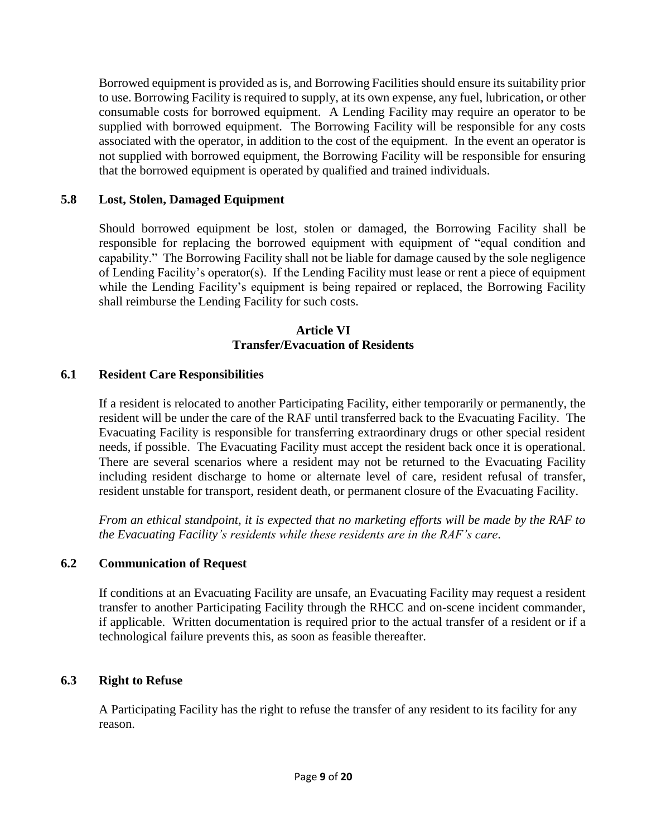Borrowed equipment is provided as is, and Borrowing Facilities should ensure its suitability prior to use. Borrowing Facility is required to supply, at its own expense, any fuel, lubrication, or other consumable costs for borrowed equipment. A Lending Facility may require an operator to be supplied with borrowed equipment. The Borrowing Facility will be responsible for any costs associated with the operator, in addition to the cost of the equipment. In the event an operator is not supplied with borrowed equipment, the Borrowing Facility will be responsible for ensuring that the borrowed equipment is operated by qualified and trained individuals.

# **5.8 Lost, Stolen, Damaged Equipment**

Should borrowed equipment be lost, stolen or damaged, the Borrowing Facility shall be responsible for replacing the borrowed equipment with equipment of "equal condition and capability." The Borrowing Facility shall not be liable for damage caused by the sole negligence of Lending Facility's operator(s). If the Lending Facility must lease or rent a piece of equipment while the Lending Facility's equipment is being repaired or replaced, the Borrowing Facility shall reimburse the Lending Facility for such costs.

#### **Article VI Transfer/Evacuation of Residents**

# **6.1 Resident Care Responsibilities**

If a resident is relocated to another Participating Facility, either temporarily or permanently, the resident will be under the care of the RAF until transferred back to the Evacuating Facility. The Evacuating Facility is responsible for transferring extraordinary drugs or other special resident needs, if possible. The Evacuating Facility must accept the resident back once it is operational. There are several scenarios where a resident may not be returned to the Evacuating Facility including resident discharge to home or alternate level of care, resident refusal of transfer, resident unstable for transport, resident death, or permanent closure of the Evacuating Facility.

*From an ethical standpoint, it is expected that no marketing efforts will be made by the RAF to the Evacuating Facility's residents while these residents are in the RAF's care*.

## **6.2 Communication of Request**

If conditions at an Evacuating Facility are unsafe, an Evacuating Facility may request a resident transfer to another Participating Facility through the RHCC and on-scene incident commander, if applicable. Written documentation is required prior to the actual transfer of a resident or if a technological failure prevents this, as soon as feasible thereafter.

## **6.3 Right to Refuse**

A Participating Facility has the right to refuse the transfer of any resident to its facility for any reason.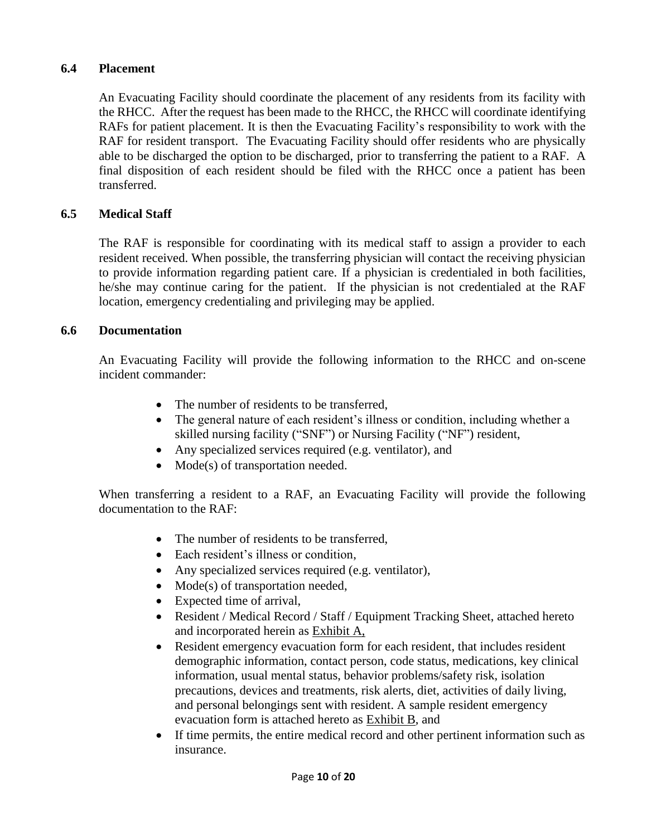## **6.4 Placement**

An Evacuating Facility should coordinate the placement of any residents from its facility with the RHCC. After the request has been made to the RHCC, the RHCC will coordinate identifying RAFs for patient placement. It is then the Evacuating Facility's responsibility to work with the RAF for resident transport. The Evacuating Facility should offer residents who are physically able to be discharged the option to be discharged, prior to transferring the patient to a RAF. A final disposition of each resident should be filed with the RHCC once a patient has been transferred.

# **6.5 Medical Staff**

The RAF is responsible for coordinating with its medical staff to assign a provider to each resident received. When possible, the transferring physician will contact the receiving physician to provide information regarding patient care. If a physician is credentialed in both facilities, he/she may continue caring for the patient. If the physician is not credentialed at the RAF location, emergency credentialing and privileging may be applied.

## **6.6 Documentation**

An Evacuating Facility will provide the following information to the RHCC and on-scene incident commander:

- The number of residents to be transferred.
- The general nature of each resident's illness or condition, including whether a skilled nursing facility ("SNF") or Nursing Facility ("NF") resident,
- Any specialized services required (e.g. ventilator), and
- Mode(s) of transportation needed.

When transferring a resident to a RAF, an Evacuating Facility will provide the following documentation to the RAF:

- The number of residents to be transferred,
- Each resident's illness or condition.
- Any specialized services required (e.g. ventilator),
- Mode(s) of transportation needed,
- Expected time of arrival,
- Resident / Medical Record / Staff / Equipment Tracking Sheet, attached hereto and incorporated herein as Exhibit A,
- Resident emergency evacuation form for each resident, that includes resident demographic information, contact person, code status, medications, key clinical information, usual mental status, behavior problems/safety risk, isolation precautions, devices and treatments, risk alerts, diet, activities of daily living, and personal belongings sent with resident. A sample resident emergency evacuation form is attached hereto as Exhibit B, and
- If time permits, the entire medical record and other pertinent information such as insurance.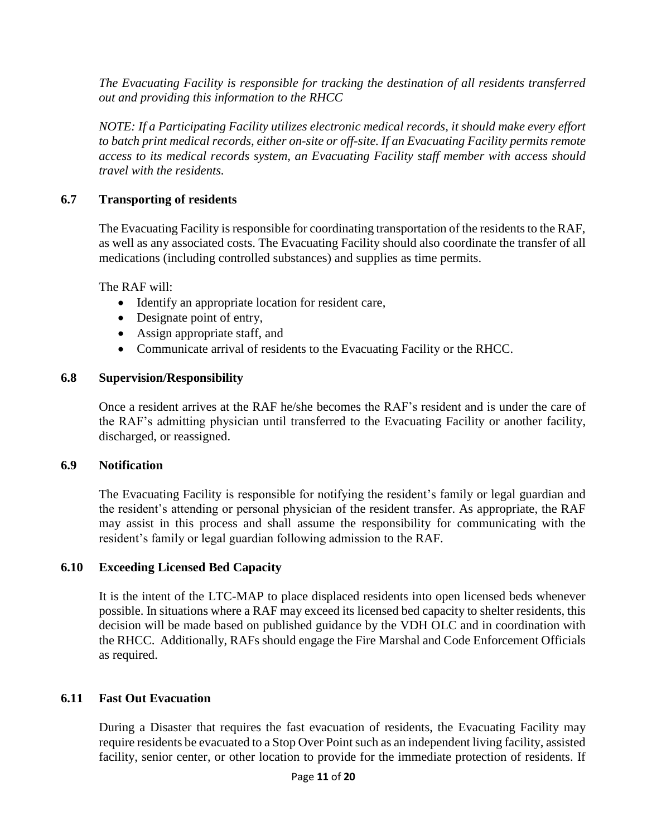*The Evacuating Facility is responsible for tracking the destination of all residents transferred out and providing this information to the RHCC*

*NOTE: If a Participating Facility utilizes electronic medical records, it should make every effort to batch print medical records, either on-site or off-site. If an Evacuating Facility permits remote access to its medical records system, an Evacuating Facility staff member with access should travel with the residents.*

# **6.7 Transporting of residents**

The Evacuating Facility is responsible for coordinating transportation of the residents to the RAF, as well as any associated costs. The Evacuating Facility should also coordinate the transfer of all medications (including controlled substances) and supplies as time permits.

The RAF will:

- Identify an appropriate location for resident care,
- Designate point of entry,
- Assign appropriate staff, and
- Communicate arrival of residents to the Evacuating Facility or the RHCC.

## **6.8 Supervision/Responsibility**

Once a resident arrives at the RAF he/she becomes the RAF's resident and is under the care of the RAF's admitting physician until transferred to the Evacuating Facility or another facility, discharged, or reassigned.

## **6.9 Notification**

The Evacuating Facility is responsible for notifying the resident's family or legal guardian and the resident's attending or personal physician of the resident transfer. As appropriate, the RAF may assist in this process and shall assume the responsibility for communicating with the resident's family or legal guardian following admission to the RAF.

## **6.10 Exceeding Licensed Bed Capacity**

It is the intent of the LTC-MAP to place displaced residents into open licensed beds whenever possible. In situations where a RAF may exceed its licensed bed capacity to shelter residents, this decision will be made based on published guidance by the VDH OLC and in coordination with the RHCC. Additionally, RAFs should engage the Fire Marshal and Code Enforcement Officials as required.

## **6.11 Fast Out Evacuation**

During a Disaster that requires the fast evacuation of residents, the Evacuating Facility may require residents be evacuated to a Stop Over Point such as an independent living facility, assisted facility, senior center, or other location to provide for the immediate protection of residents. If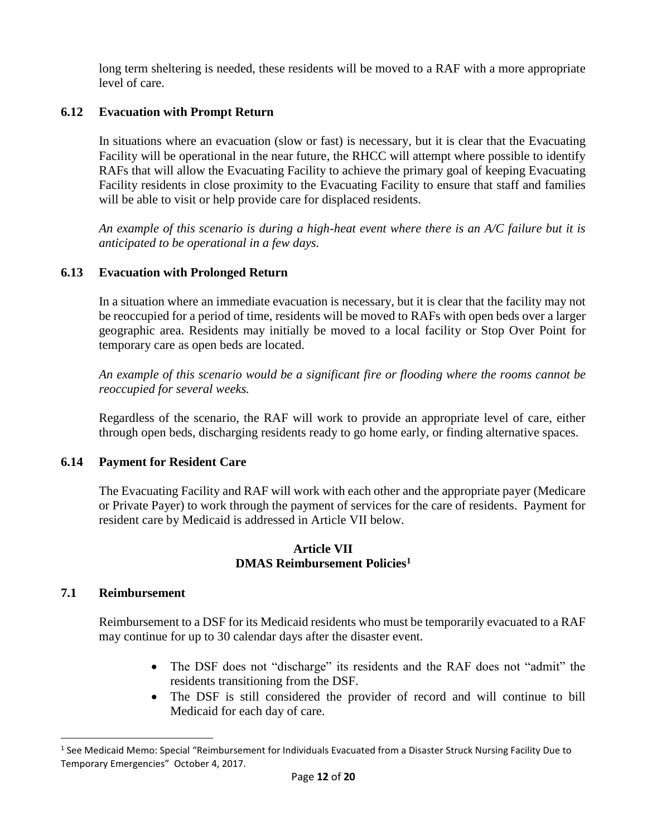long term sheltering is needed, these residents will be moved to a RAF with a more appropriate level of care.

#### **6.12 Evacuation with Prompt Return**

In situations where an evacuation (slow or fast) is necessary, but it is clear that the Evacuating Facility will be operational in the near future, the RHCC will attempt where possible to identify RAFs that will allow the Evacuating Facility to achieve the primary goal of keeping Evacuating Facility residents in close proximity to the Evacuating Facility to ensure that staff and families will be able to visit or help provide care for displaced residents.

*An example of this scenario is during a high-heat event where there is an A/C failure but it is anticipated to be operational in a few days.*

#### **6.13 Evacuation with Prolonged Return**

In a situation where an immediate evacuation is necessary, but it is clear that the facility may not be reoccupied for a period of time, residents will be moved to RAFs with open beds over a larger geographic area. Residents may initially be moved to a local facility or Stop Over Point for temporary care as open beds are located.

*An example of this scenario would be a significant fire or flooding where the rooms cannot be reoccupied for several weeks.* 

Regardless of the scenario, the RAF will work to provide an appropriate level of care, either through open beds, discharging residents ready to go home early, or finding alternative spaces.

#### **6.14 Payment for Resident Care**

The Evacuating Facility and RAF will work with each other and the appropriate payer (Medicare or Private Payer) to work through the payment of services for the care of residents. Payment for resident care by Medicaid is addressed in Article VII below.

#### **Article VII DMAS Reimbursement Policies<sup>1</sup>**

#### **7.1 Reimbursement**

 $\overline{a}$ 

Reimbursement to a DSF for its Medicaid residents who must be temporarily evacuated to a RAF may continue for up to 30 calendar days after the disaster event.

- The DSF does not "discharge" its residents and the RAF does not "admit" the residents transitioning from the DSF.
- The DSF is still considered the provider of record and will continue to bill Medicaid for each day of care.

<sup>&</sup>lt;sup>1</sup> See Medicaid Memo: Special "Reimbursement for Individuals Evacuated from a Disaster Struck Nursing Facility Due to Temporary Emergencies" October 4, 2017.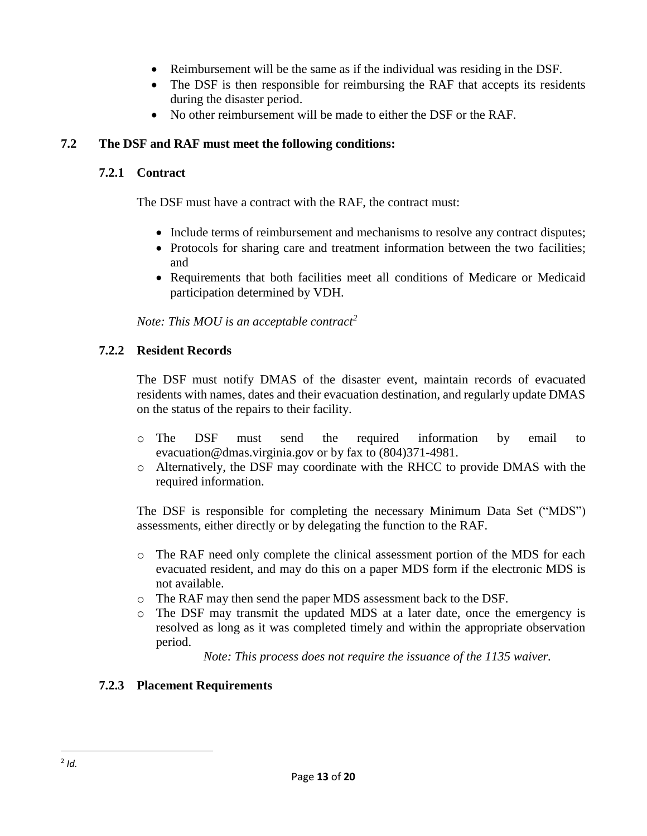- Reimbursement will be the same as if the individual was residing in the DSF.
- The DSF is then responsible for reimbursing the RAF that accepts its residents during the disaster period.
- No other reimbursement will be made to either the DSF or the RAF.

# **7.2 The DSF and RAF must meet the following conditions:**

# **7.2.1 Contract**

The DSF must have a contract with the RAF, the contract must:

- Include terms of reimbursement and mechanisms to resolve any contract disputes;
- Protocols for sharing care and treatment information between the two facilities; and
- Requirements that both facilities meet all conditions of Medicare or Medicaid participation determined by VDH.

*Note: This MOU is an acceptable contract<sup>2</sup>*

# **7.2.2 Resident Records**

The DSF must notify DMAS of the disaster event, maintain records of evacuated residents with names, dates and their evacuation destination, and regularly update DMAS on the status of the repairs to their facility.

- o The DSF must send the required information by email to evacuation@dmas.virginia.gov or by fax to (804)371-4981.
- o Alternatively, the DSF may coordinate with the RHCC to provide DMAS with the required information.

The DSF is responsible for completing the necessary Minimum Data Set ("MDS") assessments, either directly or by delegating the function to the RAF.

- o The RAF need only complete the clinical assessment portion of the MDS for each evacuated resident, and may do this on a paper MDS form if the electronic MDS is not available.
- o The RAF may then send the paper MDS assessment back to the DSF.
- o The DSF may transmit the updated MDS at a later date, once the emergency is resolved as long as it was completed timely and within the appropriate observation period.

*Note: This process does not require the issuance of the 1135 waiver.*

# **7.2.3 Placement Requirements**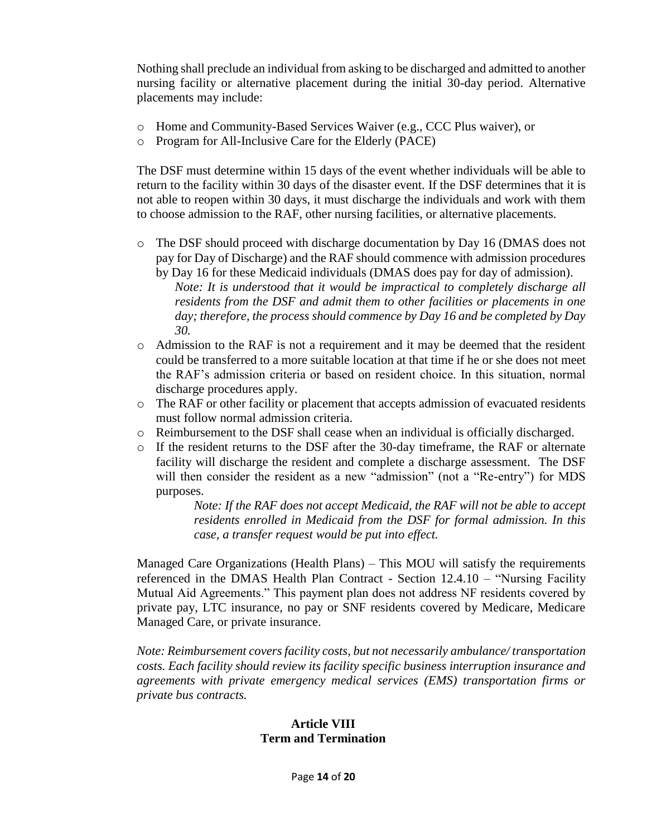Nothing shall preclude an individual from asking to be discharged and admitted to another nursing facility or alternative placement during the initial 30-day period. Alternative placements may include:

- o Home and Community-Based Services Waiver (e.g., CCC Plus waiver), or
- o Program for All-Inclusive Care for the Elderly (PACE)

The DSF must determine within 15 days of the event whether individuals will be able to return to the facility within 30 days of the disaster event. If the DSF determines that it is not able to reopen within 30 days, it must discharge the individuals and work with them to choose admission to the RAF, other nursing facilities, or alternative placements.

o The DSF should proceed with discharge documentation by Day 16 (DMAS does not pay for Day of Discharge) and the RAF should commence with admission procedures by Day 16 for these Medicaid individuals (DMAS does pay for day of admission).

*Note: It is understood that it would be impractical to completely discharge all residents from the DSF and admit them to other facilities or placements in one day; therefore, the process should commence by Day 16 and be completed by Day 30.*

- o Admission to the RAF is not a requirement and it may be deemed that the resident could be transferred to a more suitable location at that time if he or she does not meet the RAF's admission criteria or based on resident choice. In this situation, normal discharge procedures apply.
- o The RAF or other facility or placement that accepts admission of evacuated residents must follow normal admission criteria.
- o Reimbursement to the DSF shall cease when an individual is officially discharged.
- o If the resident returns to the DSF after the 30-day timeframe, the RAF or alternate facility will discharge the resident and complete a discharge assessment. The DSF will then consider the resident as a new "admission" (not a "Re-entry") for MDS purposes.

*Note: If the RAF does not accept Medicaid, the RAF will not be able to accept residents enrolled in Medicaid from the DSF for formal admission. In this case, a transfer request would be put into effect.*

Managed Care Organizations (Health Plans) – This MOU will satisfy the requirements referenced in the DMAS Health Plan Contract - Section 12.4.10 – "Nursing Facility Mutual Aid Agreements." This payment plan does not address NF residents covered by private pay, LTC insurance, no pay or SNF residents covered by Medicare, Medicare Managed Care, or private insurance.

*Note: Reimbursement covers facility costs, but not necessarily ambulance/ transportation costs. Each facility should review its facility specific business interruption insurance and agreements with private emergency medical services (EMS) transportation firms or private bus contracts.*

## **Article VIII Term and Termination**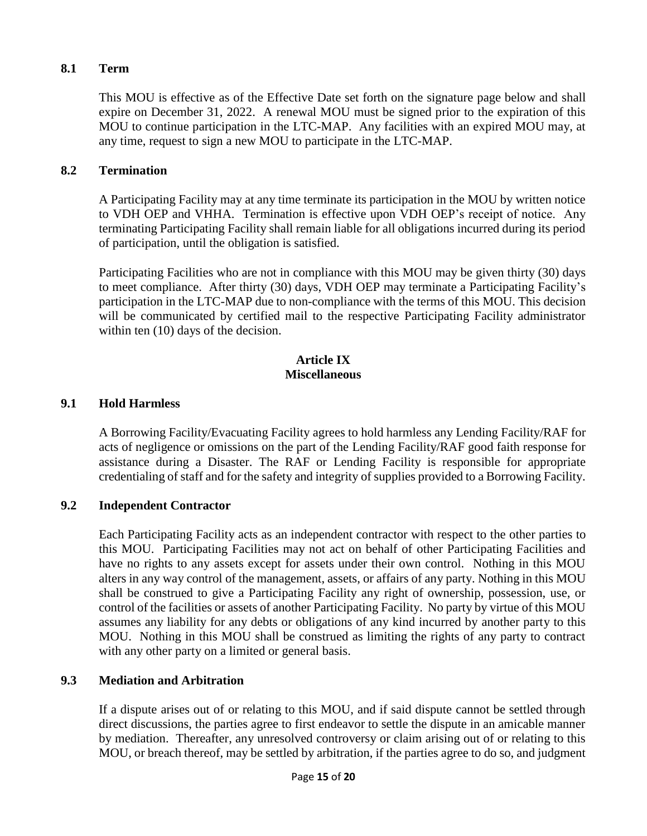## **8.1 Term**

This MOU is effective as of the Effective Date set forth on the signature page below and shall expire on December 31, 2022. A renewal MOU must be signed prior to the expiration of this MOU to continue participation in the LTC-MAP. Any facilities with an expired MOU may, at any time, request to sign a new MOU to participate in the LTC-MAP.

## **8.2 Termination**

A Participating Facility may at any time terminate its participation in the MOU by written notice to VDH OEP and VHHA. Termination is effective upon VDH OEP's receipt of notice. Any terminating Participating Facility shall remain liable for all obligations incurred during its period of participation, until the obligation is satisfied.

Participating Facilities who are not in compliance with this MOU may be given thirty (30) days to meet compliance. After thirty (30) days, VDH OEP may terminate a Participating Facility's participation in the LTC-MAP due to non-compliance with the terms of this MOU. This decision will be communicated by certified mail to the respective Participating Facility administrator within ten (10) days of the decision.

#### **Article IX Miscellaneous**

#### **9.1 Hold Harmless**

A Borrowing Facility/Evacuating Facility agrees to hold harmless any Lending Facility/RAF for acts of negligence or omissions on the part of the Lending Facility/RAF good faith response for assistance during a Disaster. The RAF or Lending Facility is responsible for appropriate credentialing of staff and for the safety and integrity of supplies provided to a Borrowing Facility.

## **9.2 Independent Contractor**

Each Participating Facility acts as an independent contractor with respect to the other parties to this MOU. Participating Facilities may not act on behalf of other Participating Facilities and have no rights to any assets except for assets under their own control. Nothing in this MOU alters in any way control of the management, assets, or affairs of any party. Nothing in this MOU shall be construed to give a Participating Facility any right of ownership, possession, use, or control of the facilities or assets of another Participating Facility. No party by virtue of this MOU assumes any liability for any debts or obligations of any kind incurred by another party to this MOU. Nothing in this MOU shall be construed as limiting the rights of any party to contract with any other party on a limited or general basis.

## **9.3 Mediation and Arbitration**

If a dispute arises out of or relating to this MOU, and if said dispute cannot be settled through direct discussions, the parties agree to first endeavor to settle the dispute in an amicable manner by mediation. Thereafter, any unresolved controversy or claim arising out of or relating to this MOU, or breach thereof, may be settled by arbitration, if the parties agree to do so, and judgment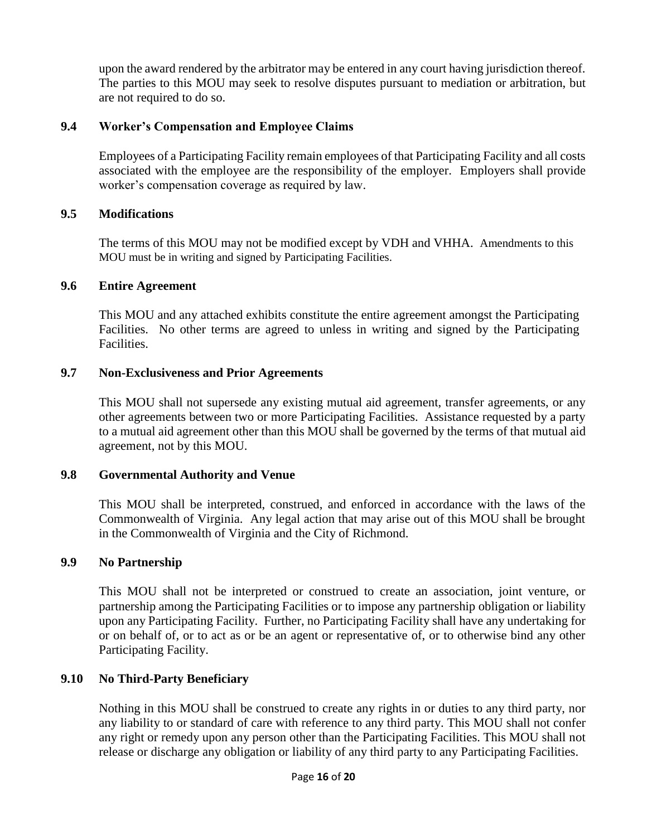upon the award rendered by the arbitrator may be entered in any court having jurisdiction thereof. The parties to this MOU may seek to resolve disputes pursuant to mediation or arbitration, but are not required to do so.

## **9.4 Worker's Compensation and Employee Claims**

Employees of a Participating Facility remain employees of that Participating Facility and all costs associated with the employee are the responsibility of the employer. Employers shall provide worker's compensation coverage as required by law.

# **9.5 Modifications**

The terms of this MOU may not be modified except by VDH and VHHA. Amendments to this MOU must be in writing and signed by Participating Facilities.

## **9.6 Entire Agreement**

This MOU and any attached exhibits constitute the entire agreement amongst the Participating Facilities. No other terms are agreed to unless in writing and signed by the Participating Facilities.

# **9.7 Non-Exclusiveness and Prior Agreements**

This MOU shall not supersede any existing mutual aid agreement, transfer agreements, or any other agreements between two or more Participating Facilities. Assistance requested by a party to a mutual aid agreement other than this MOU shall be governed by the terms of that mutual aid agreement, not by this MOU.

## **9.8 Governmental Authority and Venue**

This MOU shall be interpreted, construed, and enforced in accordance with the laws of the Commonwealth of Virginia. Any legal action that may arise out of this MOU shall be brought in the Commonwealth of Virginia and the City of Richmond.

## **9.9 No Partnership**

This MOU shall not be interpreted or construed to create an association, joint venture, or partnership among the Participating Facilities or to impose any partnership obligation or liability upon any Participating Facility. Further, no Participating Facility shall have any undertaking for or on behalf of, or to act as or be an agent or representative of, or to otherwise bind any other Participating Facility.

# **9.10 No Third-Party Beneficiary**

Nothing in this MOU shall be construed to create any rights in or duties to any third party, nor any liability to or standard of care with reference to any third party. This MOU shall not confer any right or remedy upon any person other than the Participating Facilities. This MOU shall not release or discharge any obligation or liability of any third party to any Participating Facilities.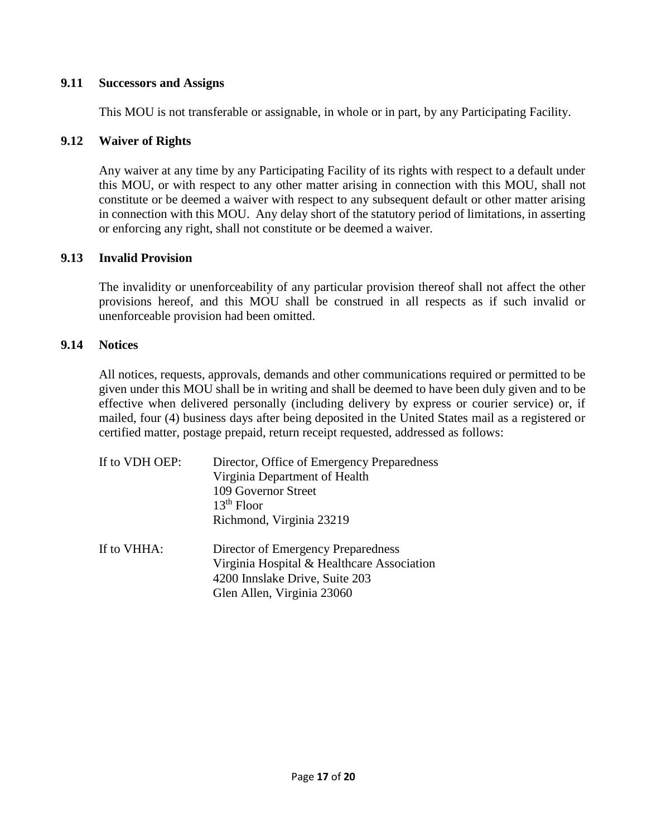#### **9.11 Successors and Assigns**

This MOU is not transferable or assignable, in whole or in part, by any Participating Facility.

#### **9.12 Waiver of Rights**

Any waiver at any time by any Participating Facility of its rights with respect to a default under this MOU, or with respect to any other matter arising in connection with this MOU, shall not constitute or be deemed a waiver with respect to any subsequent default or other matter arising in connection with this MOU. Any delay short of the statutory period of limitations, in asserting or enforcing any right, shall not constitute or be deemed a waiver.

#### **9.13 Invalid Provision**

The invalidity or unenforceability of any particular provision thereof shall not affect the other provisions hereof, and this MOU shall be construed in all respects as if such invalid or unenforceable provision had been omitted.

#### **9.14 Notices**

All notices, requests, approvals, demands and other communications required or permitted to be given under this MOU shall be in writing and shall be deemed to have been duly given and to be effective when delivered personally (including delivery by express or courier service) or, if mailed, four (4) business days after being deposited in the United States mail as a registered or certified matter, postage prepaid, return receipt requested, addressed as follows:

| If to VDH OEP: | Director, Office of Emergency Preparedness<br>Virginia Department of Health<br>109 Governor Street<br>$13th$ Floor |
|----------------|--------------------------------------------------------------------------------------------------------------------|
| If to VHHA:    | Richmond, Virginia 23219<br>Director of Emergency Preparedness                                                     |
|                | Virginia Hospital & Healthcare Association<br>4200 Innslake Drive, Suite 203<br>Glen Allen, Virginia 23060         |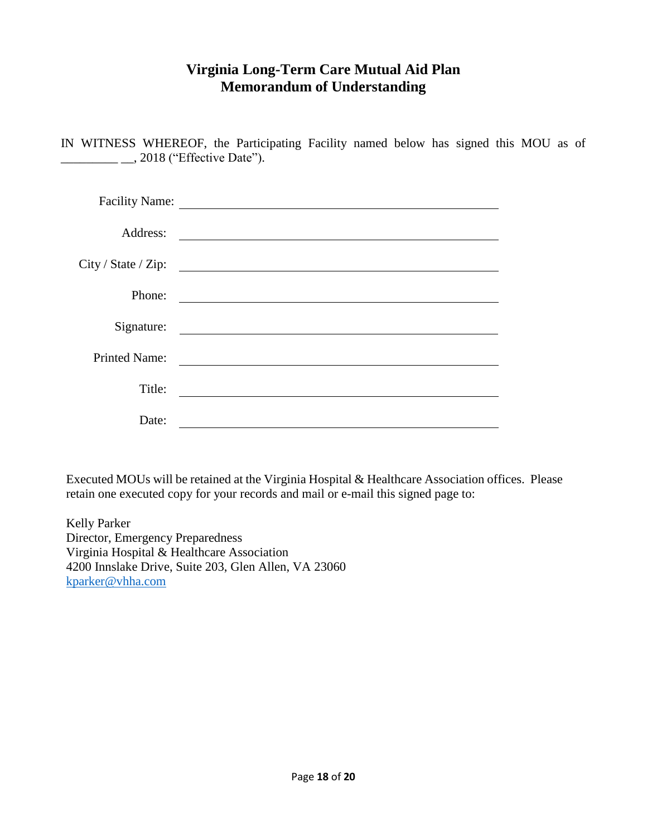# **Virginia Long-Term Care Mutual Aid Plan Memorandum of Understanding**

IN WITNESS WHEREOF, the Participating Facility named below has signed this MOU as of \_\_\_\_\_\_\_\_\_ \_\_, 2018 ("Effective Date").

| <b>Facility Name:</b> |                                                                                                                       |
|-----------------------|-----------------------------------------------------------------------------------------------------------------------|
| Address:              |                                                                                                                       |
| City / State / Zip:   | <u> 1989 - Andrea Stationer, fransk politiker (d. 1989)</u>                                                           |
| Phone:                | <u> 1980 - John Stein, Amerikaansk politiker (</u> † 1920)                                                            |
| Signature:            | <u> 1989 - Andrea State Barbara, amerikan personal di sebagai personal di sebagai personal di sebagai personal di</u> |
| <b>Printed Name:</b>  |                                                                                                                       |
| Title:                |                                                                                                                       |
| Date:                 |                                                                                                                       |

Executed MOUs will be retained at the Virginia Hospital & Healthcare Association offices. Please retain one executed copy for your records and mail or e-mail this signed page to:

Kelly Parker Director, Emergency Preparedness Virginia Hospital & Healthcare Association 4200 Innslake Drive, Suite 203, Glen Allen, VA 23060 [kparker@vhha.com](mailto:kparker@vhha.com)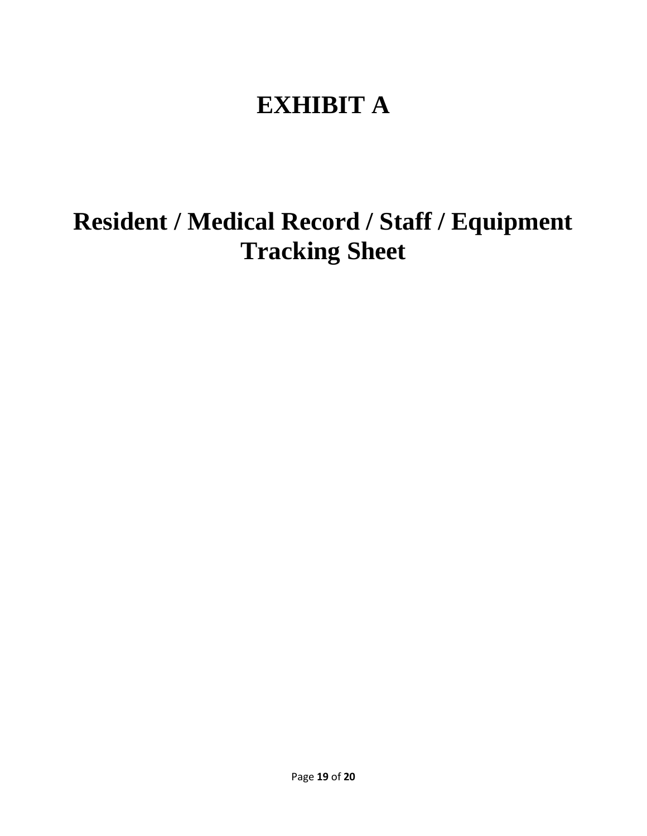# **EXHIBIT A**

**Resident / Medical Record / Staff / Equipment Tracking Sheet**